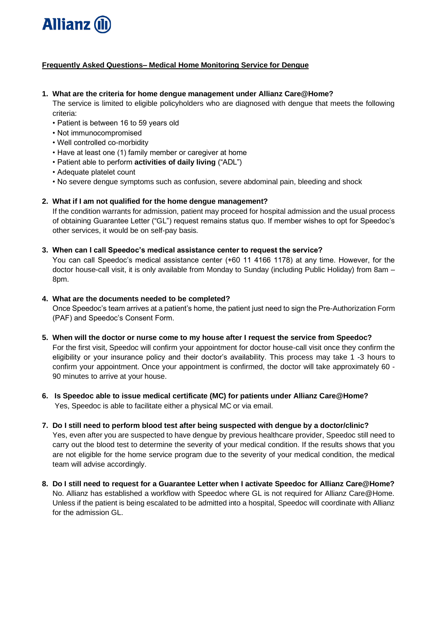

# **Frequently Asked Questions– Medical Home Monitoring Service for Dengue**

#### **1. What are the criteria for home dengue management under Allianz Care@Home?**

The service is limited to eligible policyholders who are diagnosed with dengue that meets the following criteria:

- Patient is between 16 to 59 years old
- Not immunocompromised
- Well controlled co-morbidity
- Have at least one (1) family member or caregiver at home
- Patient able to perform **activities of daily living** ("ADL")
- Adequate platelet count
- No severe dengue symptoms such as confusion, severe abdominal pain, bleeding and shock

# **2. What if I am not qualified for the home dengue management?**

If the condition warrants for admission, patient may proceed for hospital admission and the usual process of obtaining Guarantee Letter ("GL") request remains status quo. If member wishes to opt for Speedoc's other services, it would be on self-pay basis.

## **3. When can I call Speedoc's medical assistance center to request the service?**

You can call Speedoc's medical assistance center (+60 11 4166 1178) at any time. However, for the doctor house-call visit, it is only available from Monday to Sunday (including Public Holiday) from 8am – 8pm.

# **4. What are the documents needed to be completed?**

Once Speedoc's team arrives at a patient's home, the patient just need to sign the Pre-Authorization Form (PAF) and Speedoc's Consent Form.

## **5. When will the doctor or nurse come to my house after I request the service from Speedoc?**

For the first visit, Speedoc will confirm your appointment for doctor house-call visit once they confirm the eligibility or your insurance policy and their doctor's availability. This process may take 1 -3 hours to confirm your appointment. Once your appointment is confirmed, the doctor will take approximately 60 - 90 minutes to arrive at your house.

**6. Is Speedoc able to issue medical certificate (MC) for patients under Allianz Care@Home?** Yes, Speedoc is able to facilitate either a physical MC or via email.

## **7. Do I still need to perform blood test after being suspected with dengue by a doctor/clinic?**

Yes, even after you are suspected to have dengue by previous healthcare provider, Speedoc still need to carry out the blood test to determine the severity of your medical condition. If the results shows that you are not eligible for the home service program due to the severity of your medical condition, the medical team will advise accordingly.

**8. Do I still need to request for a Guarantee Letter when I activate Speedoc for Allianz Care@Home?** No. Allianz has established a workflow with Speedoc where GL is not required for Allianz Care@Home. Unless if the patient is being escalated to be admitted into a hospital, Speedoc will coordinate with Allianz for the admission GL.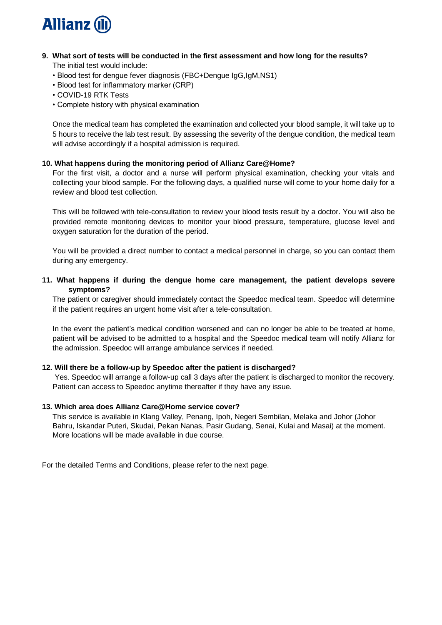

#### **9. What sort of tests will be conducted in the first assessment and how long for the results?** The initial test would include:

- Blood test for dengue fever diagnosis (FBC+Dengue IgG,IgM,NS1)
- Blood test for inflammatory marker (CRP)
- COVID-19 RTK Tests
- Complete history with physical examination

Once the medical team has completed the examination and collected your blood sample, it will take up to 5 hours to receive the lab test result. By assessing the severity of the dengue condition, the medical team will advise accordingly if a hospital admission is required.

## **10. What happens during the monitoring period of Allianz Care@Home?**

For the first visit, a doctor and a nurse will perform physical examination, checking your vitals and collecting your blood sample. For the following days, a qualified nurse will come to your home daily for a review and blood test collection.

This will be followed with tele-consultation to review your blood tests result by a doctor. You will also be provided remote monitoring devices to monitor your blood pressure, temperature, glucose level and oxygen saturation for the duration of the period.

You will be provided a direct number to contact a medical personnel in charge, so you can contact them during any emergency.

#### **11. What happens if during the dengue home care management, the patient develops severe symptoms?**

The patient or caregiver should immediately contact the Speedoc medical team. Speedoc will determine if the patient requires an urgent home visit after a tele-consultation.

In the event the patient's medical condition worsened and can no longer be able to be treated at home, patient will be advised to be admitted to a hospital and the Speedoc medical team will notify Allianz for the admission. Speedoc will arrange ambulance services if needed.

## **12. Will there be a follow-up by Speedoc after the patient is discharged?**

Yes. Speedoc will arrange a follow-up call 3 days after the patient is discharged to monitor the recovery. Patient can access to Speedoc anytime thereafter if they have any issue.

#### **13. Which area does Allianz Care@Home service cover?**

This service is available in Klang Valley, Penang, Ipoh, Negeri Sembilan, Melaka and Johor (Johor Bahru, Iskandar Puteri, Skudai, Pekan Nanas, Pasir Gudang, Senai, Kulai and Masai) at the moment. More locations will be made available in due course.

For the detailed Terms and Conditions, please refer to the next page.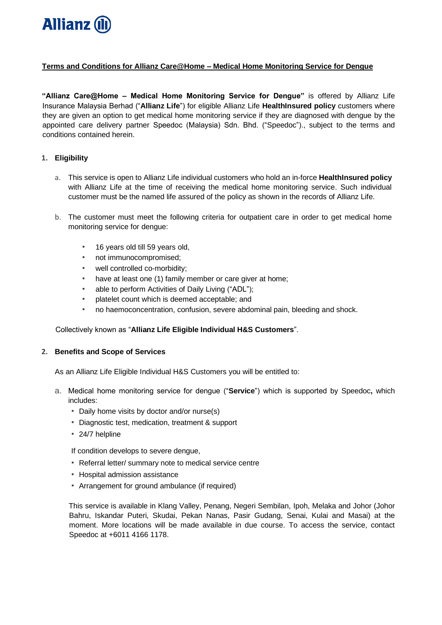

## **Terms and Conditions for Allianz Care@Home – Medical Home Monitoring Service for Dengue**

**"Allianz Care@Home – Medical Home Monitoring Service for Dengue"** is offered by Allianz Life Insurance Malaysia Berhad ("**Allianz Life**") for eligible Allianz Life **HealthInsured policy** customers where they are given an option to get medical home monitoring service if they are diagnosed with dengue by the appointed care delivery partner Speedoc (Malaysia) Sdn. Bhd. ("Speedoc")., subject to the terms and conditions contained herein.

#### **1. Eligibility**

- a. This service is open to Allianz Life individual customers who hold an in-force **HealthInsured policy** with Allianz Life at the time of receiving the medical home monitoring service. Such individual customer must be the named life assured of the policy as shown in the records of Allianz Life.
- b. The customer must meet the following criteria for outpatient care in order to get medical home monitoring service for dengue:
	- 16 years old till 59 years old,
	- not immunocompromised;
	- well controlled co-morbidity;
	- have at least one (1) family member or care giver at home;
	- able to perform Activities of Daily Living ("ADL");
	- platelet count which is deemed acceptable; and
	- no haemoconcentration, confusion, severe abdominal pain, bleeding and shock.

#### Collectively known as "**Allianz Life Eligible Individual H&S Customers**".

#### **2. Benefits and Scope of Services**

As an Allianz Life Eligible Individual H&S Customers you will be entitled to:

- a. Medical home monitoring service for dengue ("**Service**") which is supported by Speedoc**,** which includes:
	- Daily home visits by doctor and/or nurse(s)
	- Diagnostic test, medication, treatment & support
	- 24/7 helpline

If condition develops to severe dengue,

- Referral letter/ summary note to medical service centre
- Hospital admission assistance
- Arrangement for ground ambulance (if required)

This service is available in Klang Valley, Penang, Negeri Sembilan, Ipoh, Melaka and Johor (Johor Bahru, Iskandar Puteri, Skudai, Pekan Nanas, Pasir Gudang, Senai, Kulai and Masai) at the moment. More locations will be made available in due course. To access the service, contact Speedoc at +6011 4166 1178.